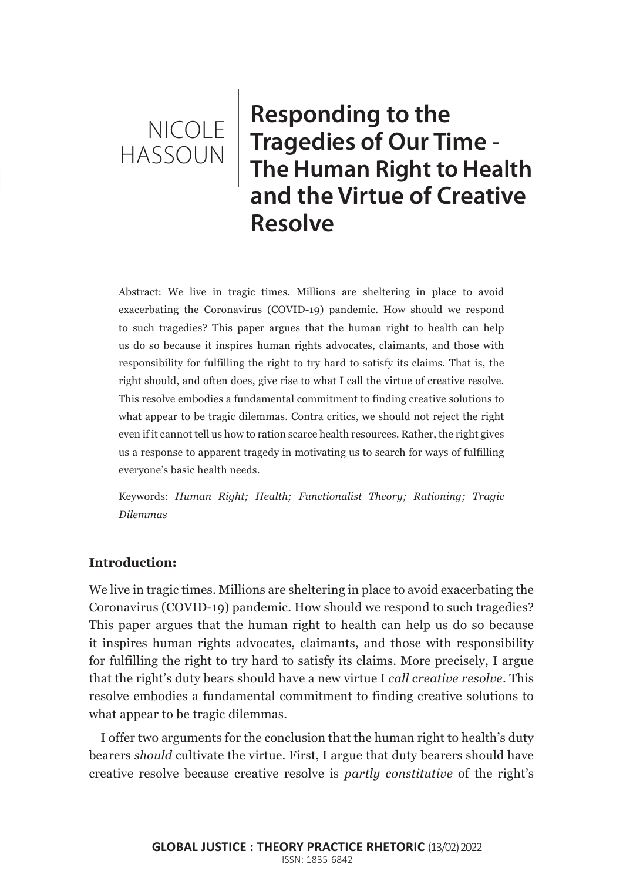# NICOLE HASSOUN

**Responding to the Tragedies of Our Time - The Human Right to Health and the Virtue of Creative Resolve**

Abstract: We live in tragic times. Millions are sheltering in place to avoid exacerbating the Coronavirus (COVID-19) pandemic. How should we respond to such tragedies? This paper argues that the human right to health can help us do so because it inspires human rights advocates, claimants, and those with responsibility for fulfilling the right to try hard to satisfy its claims. That is, the right should, and often does, give rise to what I call the virtue of creative resolve. This resolve embodies a fundamental commitment to finding creative solutions to what appear to be tragic dilemmas. Contra critics, we should not reject the right even if it cannot tell us how to ration scarce health resources. Rather, the right gives us a response to apparent tragedy in motivating us to search for ways of fulfilling everyone's basic health needs.

Keywords: *Human Right; Health; Functionalist Theory; Rationing; Tragic Dilemmas*

#### **Introduction:**

We live in tragic times. Millions are sheltering in place to avoid exacerbating the Coronavirus (COVID-19) pandemic. How should we respond to such tragedies? This paper argues that the human right to health can help us do so because it inspires human rights advocates, claimants, and those with responsibility for fulfilling the right to try hard to satisfy its claims. More precisely, I argue that the right's duty bears should have a new virtue I *call creative resolve*. This resolve embodies a fundamental commitment to finding creative solutions to what appear to be tragic dilemmas.

I offer two arguments for the conclusion that the human right to health's duty bearers *should* cultivate the virtue. First, I argue that duty bearers should have creative resolve because creative resolve is *partly constitutive* of the right's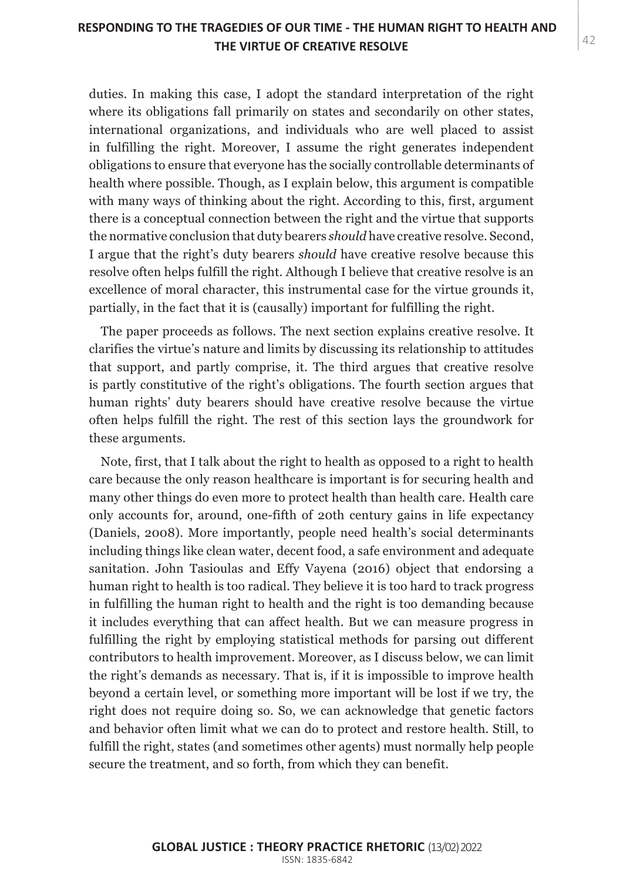## THE VIRTUE OF CREATIVE RESOLVE **A**  $42$ **RESPONDING TO THE TRAGEDIES OF OUR TIME - THE HUMAN RIGHT TO HEALTH AND**

duties. In making this case, I adopt the standard interpretation of the right where its obligations fall primarily on states and secondarily on other states, international organizations, and individuals who are well placed to assist in fulfilling the right. Moreover, I assume the right generates independent obligations to ensure that everyone has the socially controllable determinants of health where possible. Though, as I explain below, this argument is compatible with many ways of thinking about the right. According to this, first, argument there is a conceptual connection between the right and the virtue that supports the normative conclusion that duty bearers *should* have creative resolve. Second, I argue that the right's duty bearers *should* have creative resolve because this resolve often helps fulfill the right. Although I believe that creative resolve is an excellence of moral character, this instrumental case for the virtue grounds it, partially, in the fact that it is (causally) important for fulfilling the right.

The paper proceeds as follows. The next section explains creative resolve. It clarifies the virtue's nature and limits by discussing its relationship to attitudes that support, and partly comprise, it. The third argues that creative resolve is partly constitutive of the right's obligations. The fourth section argues that human rights' duty bearers should have creative resolve because the virtue often helps fulfill the right. The rest of this section lays the groundwork for these arguments.

Note, first, that I talk about the right to health as opposed to a right to health care because the only reason healthcare is important is for securing health and many other things do even more to protect health than health care. Health care only accounts for, around, one-fifth of 20th century gains in life expectancy (Daniels, 2008). More importantly, people need health's social determinants including things like clean water, decent food, a safe environment and adequate sanitation. John Tasioulas and Effy Vayena (2016) object that endorsing a human right to health is too radical. They believe it is too hard to track progress in fulfilling the human right to health and the right is too demanding because it includes everything that can affect health. But we can measure progress in fulfilling the right by employing statistical methods for parsing out different contributors to health improvement. Moreover, as I discuss below, we can limit the right's demands as necessary. That is, if it is impossible to improve health beyond a certain level, or something more important will be lost if we try, the right does not require doing so. So, we can acknowledge that genetic factors and behavior often limit what we can do to protect and restore health. Still, to fulfill the right, states (and sometimes other agents) must normally help people secure the treatment, and so forth, from which they can benefit.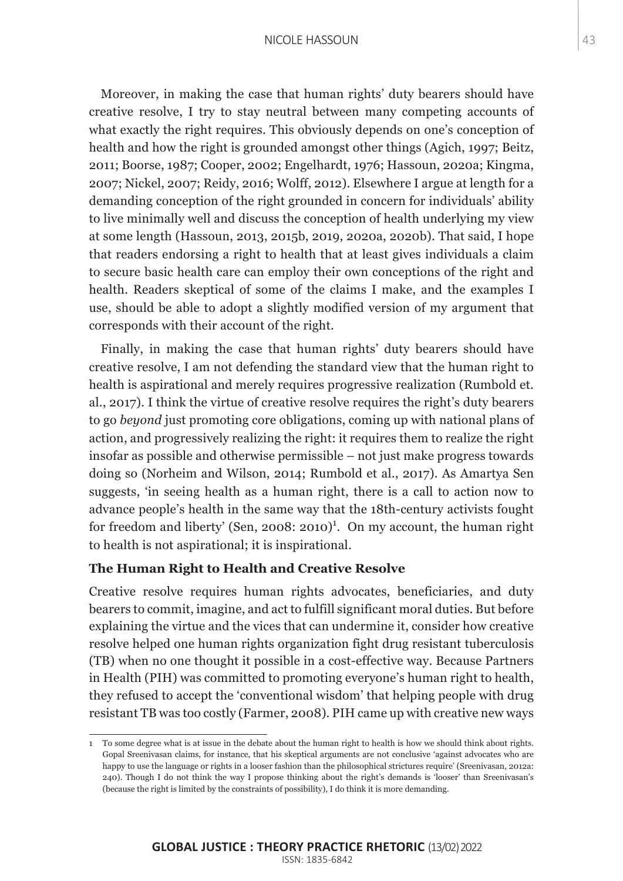#### NICOLE HASSOUN 43

Moreover, in making the case that human rights' duty bearers should have creative resolve, I try to stay neutral between many competing accounts of what exactly the right requires. This obviously depends on one's conception of health and how the right is grounded amongst other things (Agich, 1997; Beitz, 2011; Boorse, 1987; Cooper, 2002; Engelhardt, 1976; Hassoun, 2020a; Kingma, 2007; Nickel, 2007; Reidy, 2016; Wolff, 2012). Elsewhere I argue at length for a demanding conception of the right grounded in concern for individuals' ability to live minimally well and discuss the conception of health underlying my view at some length (Hassoun, 2013, 2015b, 2019, 2020a, 2020b). That said, I hope that readers endorsing a right to health that at least gives individuals a claim to secure basic health care can employ their own conceptions of the right and health. Readers skeptical of some of the claims I make, and the examples I use, should be able to adopt a slightly modified version of my argument that corresponds with their account of the right.

Finally, in making the case that human rights' duty bearers should have creative resolve, I am not defending the standard view that the human right to health is aspirational and merely requires progressive realization (Rumbold et. al., 2017). I think the virtue of creative resolve requires the right's duty bearers to go *beyond* just promoting core obligations, coming up with national plans of action, and progressively realizing the right: it requires them to realize the right insofar as possible and otherwise permissible – not just make progress towards doing so (Norheim and Wilson, 2014; Rumbold et al., 2017). As Amartya Sen suggests, 'in seeing health as a human right, there is a call to action now to advance people's health in the same way that the 18th-century activists fought for freedom and liberty' (Sen, 2008: 2010)<sup>1</sup>. On my account, the human right to health is not aspirational; it is inspirational.

#### **The Human Right to Health and Creative Resolve**

Creative resolve requires human rights advocates, beneficiaries, and duty bearers to commit, imagine, and act to fulfill significant moral duties. But before explaining the virtue and the vices that can undermine it, consider how creative resolve helped one human rights organization fight drug resistant tuberculosis (TB) when no one thought it possible in a cost-effective way. Because Partners in Health (PIH) was committed to promoting everyone's human right to health, they refused to accept the 'conventional wisdom' that helping people with drug resistant TB was too costly (Farmer, 2008). PIH came up with creative new ways

<sup>1</sup> To some degree what is at issue in the debate about the human right to health is how we should think about rights. Gopal Sreenivasan claims, for instance, that his skeptical arguments are not conclusive 'against advocates who are happy to use the language or rights in a looser fashion than the philosophical strictures require' (Sreenivasan, 2012a: 240). Though I do not think the way I propose thinking about the right's demands is 'looser' than Sreenivasan's (because the right is limited by the constraints of possibility), I do think it is more demanding.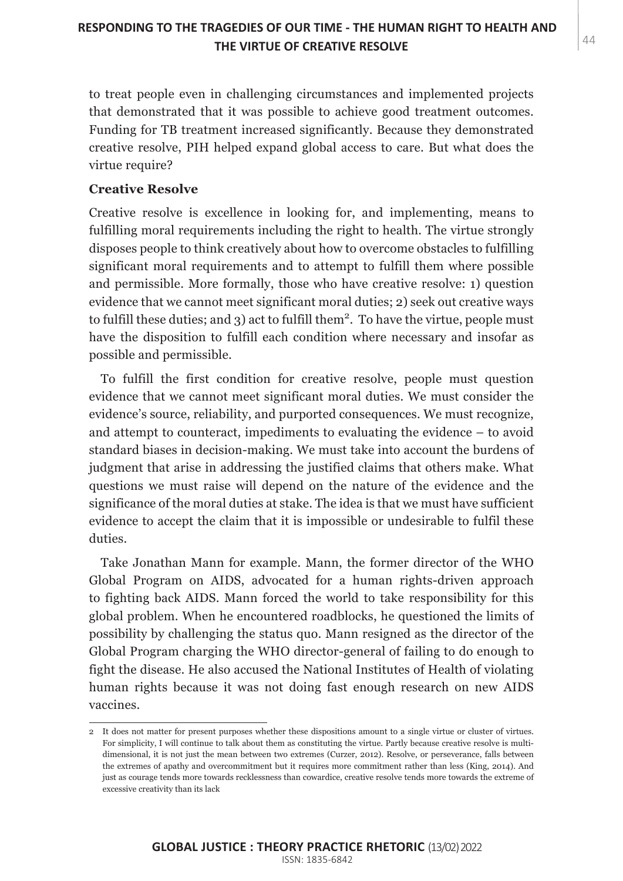## THE VIRTUE OF CREATIVE RESOLVE **A**  $44$ **RESPONDING TO THE TRAGEDIES OF OUR TIME - THE HUMAN RIGHT TO HEALTH AND**

to treat people even in challenging circumstances and implemented projects that demonstrated that it was possible to achieve good treatment outcomes. Funding for TB treatment increased significantly. Because they demonstrated creative resolve, PIH helped expand global access to care. But what does the virtue require?

#### **Creative Resolve**

Creative resolve is excellence in looking for, and implementing, means to fulfilling moral requirements including the right to health. The virtue strongly disposes people to think creatively about how to overcome obstacles to fulfilling significant moral requirements and to attempt to fulfill them where possible and permissible. More formally, those who have creative resolve: 1) question evidence that we cannot meet significant moral duties; 2) seek out creative ways to fulfill these duties; and  $3$ ) act to fulfill them<sup>2</sup>. To have the virtue, people must have the disposition to fulfill each condition where necessary and insofar as possible and permissible.

To fulfill the first condition for creative resolve, people must question evidence that we cannot meet significant moral duties. We must consider the evidence's source, reliability, and purported consequences. We must recognize, and attempt to counteract, impediments to evaluating the evidence – to avoid standard biases in decision-making. We must take into account the burdens of judgment that arise in addressing the justified claims that others make. What questions we must raise will depend on the nature of the evidence and the significance of the moral duties at stake. The idea is that we must have sufficient evidence to accept the claim that it is impossible or undesirable to fulfil these duties.

Take Jonathan Mann for example. Mann, the former director of the WHO Global Program on AIDS, advocated for a human rights-driven approach to fighting back AIDS. Mann forced the world to take responsibility for this global problem. When he encountered roadblocks, he questioned the limits of possibility by challenging the status quo. Mann resigned as the director of the Global Program charging the WHO director-general of failing to do enough to fight the disease. He also accused the National Institutes of Health of violating human rights because it was not doing fast enough research on new AIDS vaccines.

<sup>2</sup> It does not matter for present purposes whether these dispositions amount to a single virtue or cluster of virtues. For simplicity, I will continue to talk about them as constituting the virtue. Partly because creative resolve is multidimensional, it is not just the mean between two extremes (Curzer, 2012). Resolve, or perseverance, falls between the extremes of apathy and overcommitment but it requires more commitment rather than less (King, 2014). And just as courage tends more towards recklessness than cowardice, creative resolve tends more towards the extreme of excessive creativity than its lack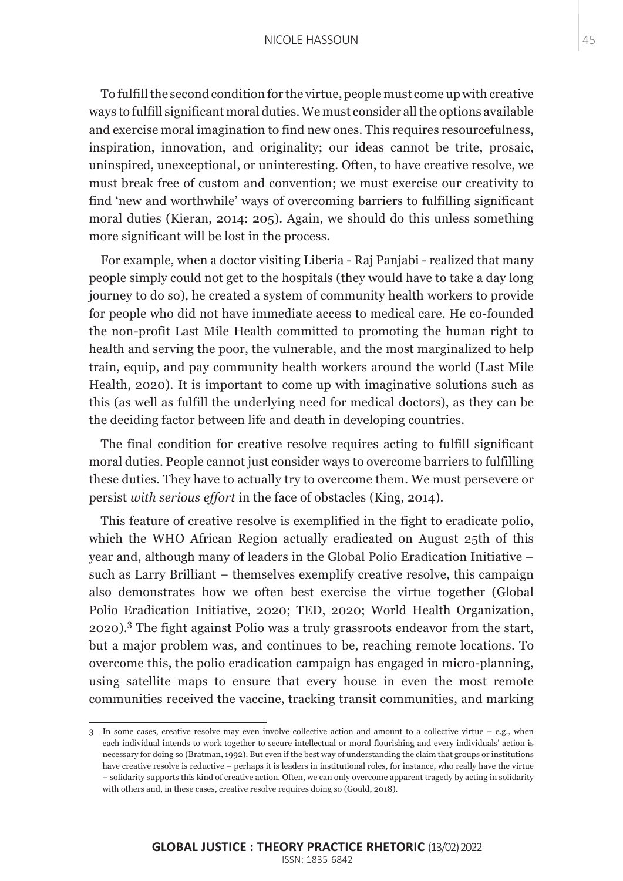#### NICOLE HASSOUN 45

To fulfill the second condition for the virtue, people must come up with creative ways to fulfill significant moral duties. We must consider all the options available and exercise moral imagination to find new ones. This requires resourcefulness, inspiration, innovation, and originality; our ideas cannot be trite, prosaic, uninspired, unexceptional, or uninteresting. Often, to have creative resolve, we must break free of custom and convention; we must exercise our creativity to find 'new and worthwhile' ways of overcoming barriers to fulfilling significant moral duties (Kieran, 2014: 205). Again, we should do this unless something more significant will be lost in the process.

For example, when a doctor visiting Liberia - Raj Panjabi - realized that many people simply could not get to the hospitals (they would have to take a day long journey to do so), he created a system of community health workers to provide for people who did not have immediate access to medical care. He co-founded the non-profit Last Mile Health committed to promoting the human right to health and serving the poor, the vulnerable, and the most marginalized to help train, equip, and pay community health workers around the world (Last Mile Health, 2020). It is important to come up with imaginative solutions such as this (as well as fulfill the underlying need for medical doctors), as they can be the deciding factor between life and death in developing countries.

The final condition for creative resolve requires acting to fulfill significant moral duties. People cannot just consider ways to overcome barriers to fulfilling these duties. They have to actually try to overcome them. We must persevere or persist *with serious effort* in the face of obstacles (King, 2014).

This feature of creative resolve is exemplified in the fight to eradicate polio, which the WHO African Region actually eradicated on August 25th of this year and, although many of leaders in the Global Polio Eradication Initiative – such as Larry Brilliant – themselves exemplify creative resolve, this campaign also demonstrates how we often best exercise the virtue together (Global Polio Eradication Initiative, 2020; TED, 2020; World Health Organization, 2020).<sup>3</sup> The fight against Polio was a truly grassroots endeavor from the start, but a major problem was, and continues to be, reaching remote locations. To overcome this, the polio eradication campaign has engaged in micro-planning, using satellite maps to ensure that every house in even the most remote communities received the vaccine, tracking transit communities, and marking

<sup>3</sup> In some cases, creative resolve may even involve collective action and amount to a collective virtue – e.g., when each individual intends to work together to secure intellectual or moral flourishing and every individuals' action is necessary for doing so (Bratman, 1992). But even if the best way of understanding the claim that groups or institutions have creative resolve is reductive – perhaps it is leaders in institutional roles, for instance, who really have the virtue – solidarity supports this kind of creative action. Often, we can only overcome apparent tragedy by acting in solidarity with others and, in these cases, creative resolve requires doing so (Gould, 2018).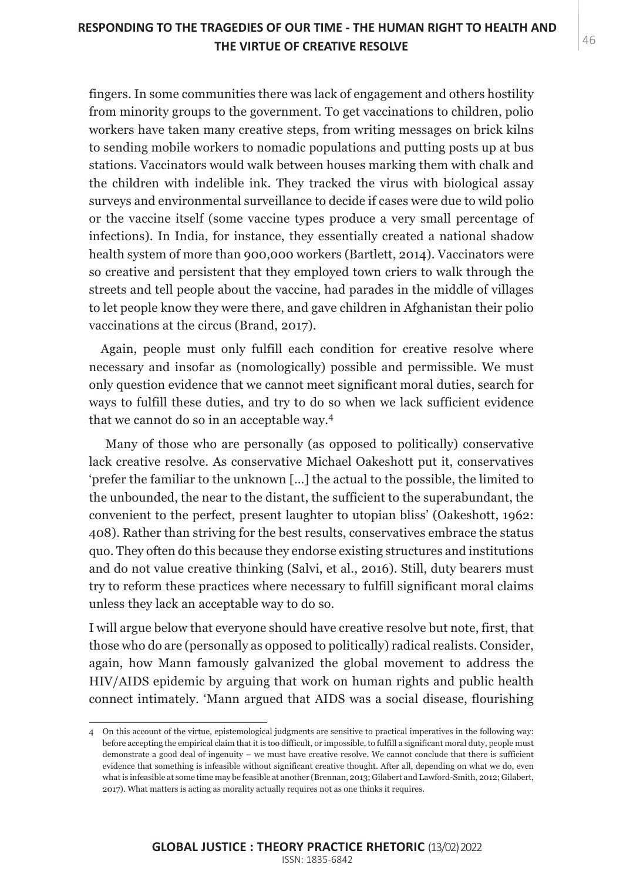## THE VIRTUE OF CREATIVE RESOLVE **A**  $46$ **RESPONDING TO THE TRAGEDIES OF OUR TIME - THE HUMAN RIGHT TO HEALTH AND**

fingers. In some communities there was lack of engagement and others hostility from minority groups to the government. To get vaccinations to children, polio workers have taken many creative steps, from writing messages on brick kilns to sending mobile workers to nomadic populations and putting posts up at bus stations. Vaccinators would walk between houses marking them with chalk and the children with indelible ink. They tracked the virus with biological assay surveys and environmental surveillance to decide if cases were due to wild polio or the vaccine itself (some vaccine types produce a very small percentage of infections). In India, for instance, they essentially created a national shadow health system of more than 900,000 workers (Bartlett, 2014). Vaccinators were so creative and persistent that they employed town criers to walk through the streets and tell people about the vaccine, had parades in the middle of villages to let people know they were there, and gave children in Afghanistan their polio vaccinations at the circus (Brand, 2017).

Again, people must only fulfill each condition for creative resolve where necessary and insofar as (nomologically) possible and permissible. We must only question evidence that we cannot meet significant moral duties, search for ways to fulfill these duties, and try to do so when we lack sufficient evidence that we cannot do so in an acceptable way.<sup>4</sup>

 Many of those who are personally (as opposed to politically) conservative lack creative resolve. As conservative Michael Oakeshott put it, conservatives 'prefer the familiar to the unknown […] the actual to the possible, the limited to the unbounded, the near to the distant, the sufficient to the superabundant, the convenient to the perfect, present laughter to utopian bliss' (Oakeshott, 1962: 408). Rather than striving for the best results, conservatives embrace the status quo. They often do this because they endorse existing structures and institutions and do not value creative thinking (Salvi, et al., 2016). Still, duty bearers must try to reform these practices where necessary to fulfill significant moral claims unless they lack an acceptable way to do so.

I will argue below that everyone should have creative resolve but note, first, that those who do are (personally as opposed to politically) radical realists. Consider, again, how Mann famously galvanized the global movement to address the HIV/AIDS epidemic by arguing that work on human rights and public health connect intimately. 'Mann argued that AIDS was a social disease, flourishing

<sup>4</sup> On this account of the virtue, epistemological judgments are sensitive to practical imperatives in the following way: before accepting the empirical claim that it is too difficult, or impossible, to fulfill a significant moral duty, people must demonstrate a good deal of ingenuity – we must have creative resolve. We cannot conclude that there is sufficient evidence that something is infeasible without significant creative thought. After all, depending on what we do, even what is infeasible at some time may be feasible at another (Brennan, 2013; Gilabert and Lawford-Smith, 2012; Gilabert, 2017). What matters is acting as morality actually requires not as one thinks it requires.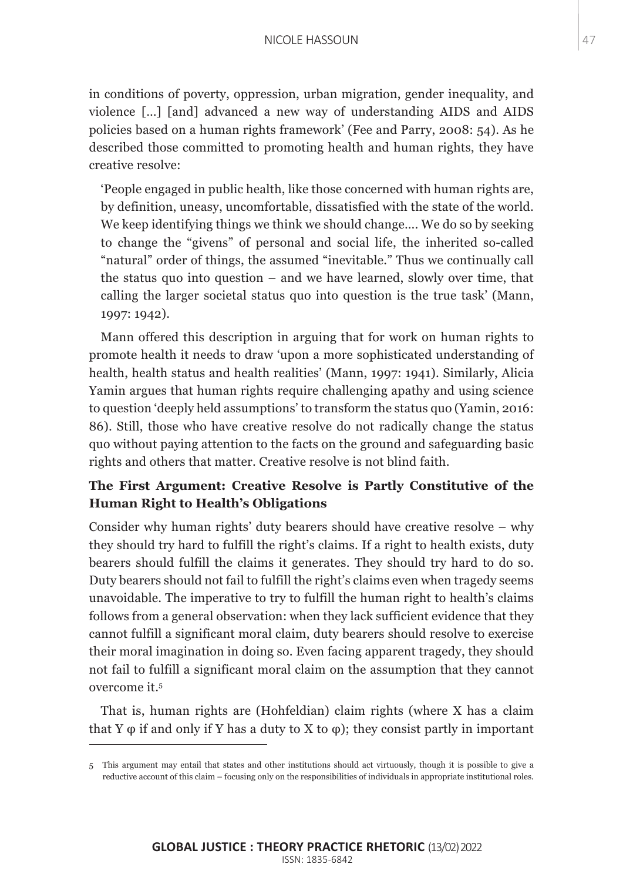in conditions of poverty, oppression, urban migration, gender inequality, and violence […] [and] advanced a new way of understanding AIDS and AIDS policies based on a human rights framework' (Fee and Parry, 2008: 54). As he described those committed to promoting health and human rights, they have creative resolve:

'People engaged in public health, like those concerned with human rights are, by definition, uneasy, uncomfortable, dissatisfied with the state of the world. We keep identifying things we think we should change.... We do so by seeking to change the "givens" of personal and social life, the inherited so-called "natural" order of things, the assumed "inevitable." Thus we continually call the status quo into question – and we have learned, slowly over time, that calling the larger societal status quo into question is the true task' (Mann, 1997: 1942).

Mann offered this description in arguing that for work on human rights to promote health it needs to draw 'upon a more sophisticated understanding of health, health status and health realities' (Mann, 1997: 1941). Similarly, Alicia Yamin argues that human rights require challenging apathy and using science to question 'deeply held assumptions' to transform the status quo (Yamin, 2016: 86). Still, those who have creative resolve do not radically change the status quo without paying attention to the facts on the ground and safeguarding basic rights and others that matter. Creative resolve is not blind faith.

# **The First Argument: Creative Resolve is Partly Constitutive of the Human Right to Health's Obligations**

Consider why human rights' duty bearers should have creative resolve – why they should try hard to fulfill the right's claims. If a right to health exists, duty bearers should fulfill the claims it generates. They should try hard to do so. Duty bearers should not fail to fulfill the right's claims even when tragedy seems unavoidable. The imperative to try to fulfill the human right to health's claims follows from a general observation: when they lack sufficient evidence that they cannot fulfill a significant moral claim, duty bearers should resolve to exercise their moral imagination in doing so. Even facing apparent tragedy, they should not fail to fulfill a significant moral claim on the assumption that they cannot overcome it.5

That is, human rights are (Hohfeldian) claim rights (where X has a claim that Y  $\varphi$  if and only if Y has a duty to X to  $\varphi$ ); they consist partly in important

<sup>5</sup> This argument may entail that states and other institutions should act virtuously, though it is possible to give a reductive account of this claim – focusing only on the responsibilities of individuals in appropriate institutional roles.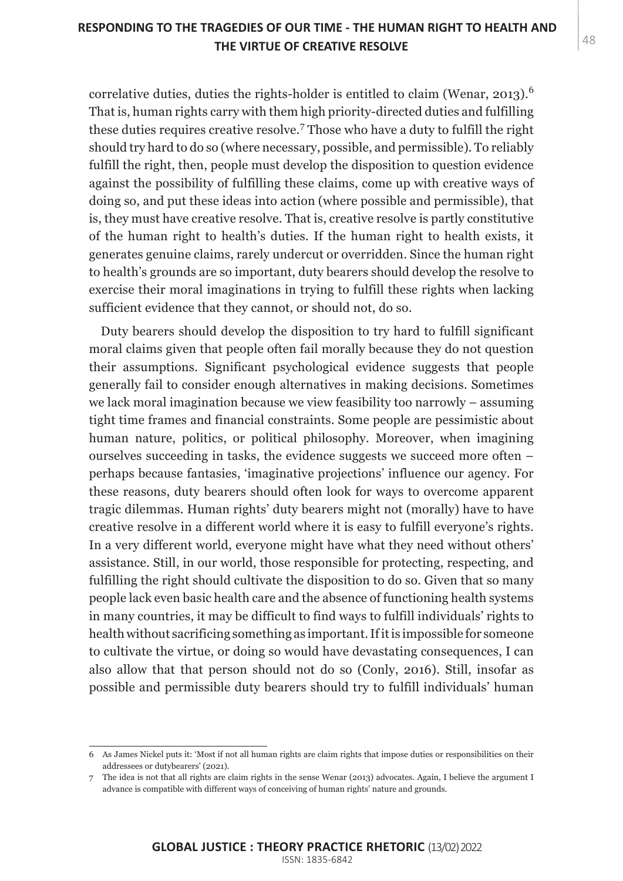correlative duties, duties the rights-holder is entitled to claim (Wenar, 2013).<sup>6</sup> That is, human rights carry with them high priority-directed duties and fulfilling these duties requires creative resolve.<sup>7</sup> Those who have a duty to fulfill the right should try hard to do so (where necessary, possible, and permissible). To reliably fulfill the right, then, people must develop the disposition to question evidence against the possibility of fulfilling these claims, come up with creative ways of doing so, and put these ideas into action (where possible and permissible), that is, they must have creative resolve. That is, creative resolve is partly constitutive of the human right to health's duties. If the human right to health exists, it generates genuine claims, rarely undercut or overridden. Since the human right to health's grounds are so important, duty bearers should develop the resolve to exercise their moral imaginations in trying to fulfill these rights when lacking sufficient evidence that they cannot, or should not, do so.

Duty bearers should develop the disposition to try hard to fulfill significant moral claims given that people often fail morally because they do not question their assumptions. Significant psychological evidence suggests that people generally fail to consider enough alternatives in making decisions. Sometimes we lack moral imagination because we view feasibility too narrowly – assuming tight time frames and financial constraints. Some people are pessimistic about human nature, politics, or political philosophy. Moreover, when imagining ourselves succeeding in tasks, the evidence suggests we succeed more often – perhaps because fantasies, 'imaginative projections' influence our agency. For these reasons, duty bearers should often look for ways to overcome apparent tragic dilemmas. Human rights' duty bearers might not (morally) have to have creative resolve in a different world where it is easy to fulfill everyone's rights. In a very different world, everyone might have what they need without others' assistance. Still, in our world, those responsible for protecting, respecting, and fulfilling the right should cultivate the disposition to do so. Given that so many people lack even basic health care and the absence of functioning health systems in many countries, it may be difficult to find ways to fulfill individuals' rights to health without sacrificing something as important. If it is impossible for someone to cultivate the virtue, or doing so would have devastating consequences, I can also allow that that person should not do so (Conly, 2016). Still, insofar as possible and permissible duty bearers should try to fulfill individuals' human

<sup>6</sup> As James Nickel puts it: 'Most if not all human rights are claim rights that impose duties or responsibilities on their addressees or dutybearers' (2021).

<sup>7</sup> The idea is not that all rights are claim rights in the sense Wenar (2013) advocates. Again, I believe the argument I advance is compatible with different ways of conceiving of human rights' nature and grounds.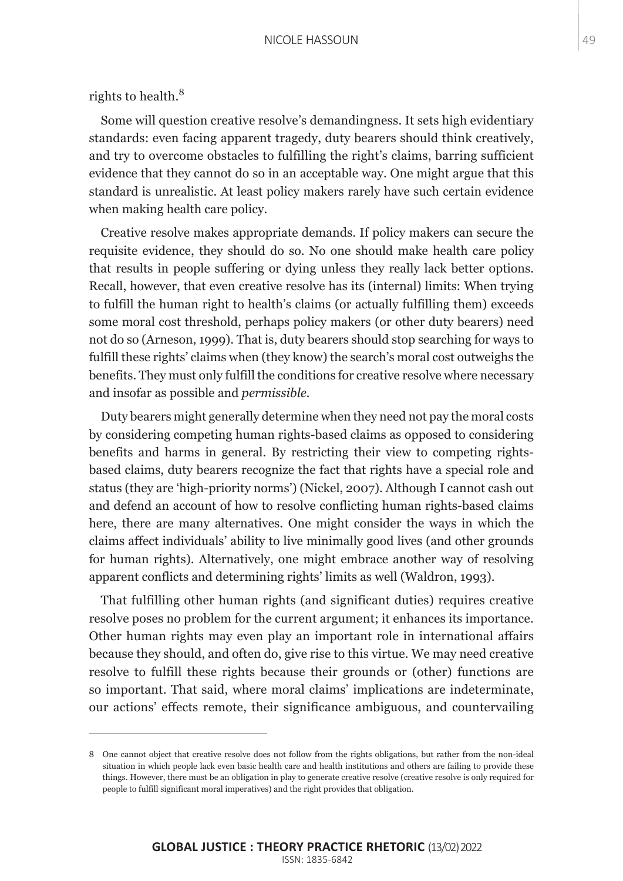rights to health.<sup>8</sup>

Some will question creative resolve's demandingness. It sets high evidentiary standards: even facing apparent tragedy, duty bearers should think creatively, and try to overcome obstacles to fulfilling the right's claims, barring sufficient evidence that they cannot do so in an acceptable way. One might argue that this standard is unrealistic. At least policy makers rarely have such certain evidence when making health care policy.

Creative resolve makes appropriate demands. If policy makers can secure the requisite evidence, they should do so. No one should make health care policy that results in people suffering or dying unless they really lack better options. Recall, however, that even creative resolve has its (internal) limits: When trying to fulfill the human right to health's claims (or actually fulfilling them) exceeds some moral cost threshold, perhaps policy makers (or other duty bearers) need not do so (Arneson, 1999). That is, duty bearers should stop searching for ways to fulfill these rights' claims when (they know) the search's moral cost outweighs the benefits. They must only fulfill the conditions for creative resolve where necessary and insofar as possible and *permissible.*

Duty bearers might generally determine when they need not pay the moral costs by considering competing human rights-based claims as opposed to considering benefits and harms in general. By restricting their view to competing rightsbased claims, duty bearers recognize the fact that rights have a special role and status (they are 'high-priority norms') (Nickel, 2007). Although I cannot cash out and defend an account of how to resolve conflicting human rights-based claims here, there are many alternatives. One might consider the ways in which the claims affect individuals' ability to live minimally good lives (and other grounds for human rights). Alternatively, one might embrace another way of resolving apparent conflicts and determining rights' limits as well (Waldron, 1993).

That fulfilling other human rights (and significant duties) requires creative resolve poses no problem for the current argument; it enhances its importance. Other human rights may even play an important role in international affairs because they should, and often do, give rise to this virtue. We may need creative resolve to fulfill these rights because their grounds or (other) functions are so important. That said, where moral claims' implications are indeterminate, our actions' effects remote, their significance ambiguous, and countervailing

<sup>8</sup> One cannot object that creative resolve does not follow from the rights obligations, but rather from the non-ideal situation in which people lack even basic health care and health institutions and others are failing to provide these things. However, there must be an obligation in play to generate creative resolve (creative resolve is only required for people to fulfill significant moral imperatives) and the right provides that obligation.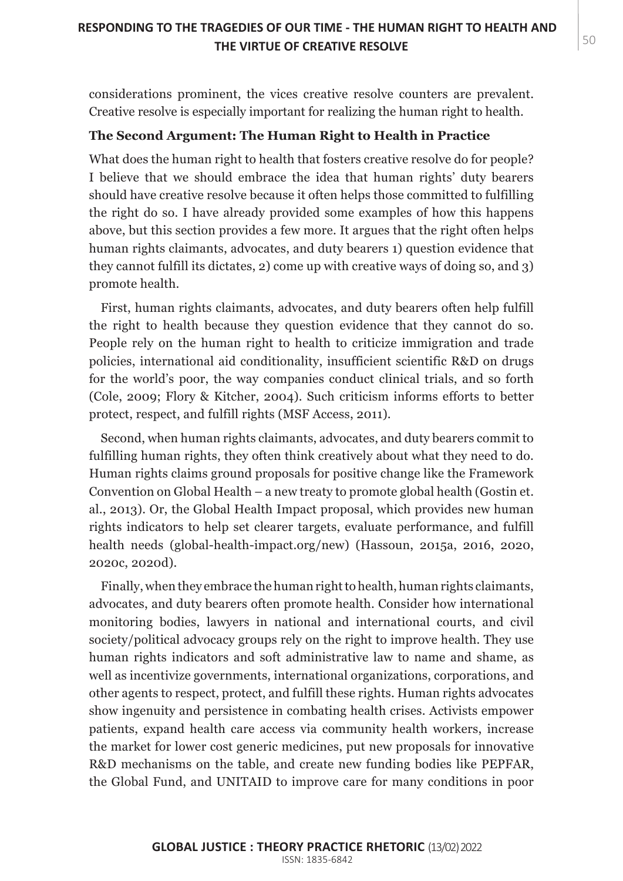considerations prominent, the vices creative resolve counters are prevalent. Creative resolve is especially important for realizing the human right to health.

#### **The Second Argument: The Human Right to Health in Practice**

What does the human right to health that fosters creative resolve do for people? I believe that we should embrace the idea that human rights' duty bearers should have creative resolve because it often helps those committed to fulfilling the right do so. I have already provided some examples of how this happens above, but this section provides a few more. It argues that the right often helps human rights claimants, advocates, and duty bearers 1) question evidence that they cannot fulfill its dictates, 2) come up with creative ways of doing so, and 3) promote health.

First, human rights claimants, advocates, and duty bearers often help fulfill the right to health because they question evidence that they cannot do so. People rely on the human right to health to criticize immigration and trade policies, international aid conditionality, insufficient scientific R&D on drugs for the world's poor, the way companies conduct clinical trials, and so forth (Cole, 2009; Flory & Kitcher, 2004). Such criticism informs efforts to better protect, respect, and fulfill rights (MSF Access, 2011).

Second, when human rights claimants, advocates, and duty bearers commit to fulfilling human rights, they often think creatively about what they need to do. Human rights claims ground proposals for positive change like the Framework Convention on Global Health – a new treaty to promote global health (Gostin et. al., 2013). Or, the Global Health Impact proposal, which provides new human rights indicators to help set clearer targets, evaluate performance, and fulfill health needs (global-health-impact.org/new) (Hassoun, 2015a, 2016, 2020, 2020c, 2020d).

Finally, when they embrace the human right to health, human rights claimants, advocates, and duty bearers often promote health. Consider how international monitoring bodies, lawyers in national and international courts, and civil society/political advocacy groups rely on the right to improve health. They use human rights indicators and soft administrative law to name and shame, as well as incentivize governments, international organizations, corporations, and other agents to respect, protect, and fulfill these rights. Human rights advocates show ingenuity and persistence in combating health crises. Activists empower patients, expand health care access via community health workers, increase the market for lower cost generic medicines, put new proposals for innovative R&D mechanisms on the table, and create new funding bodies like PEPFAR, the Global Fund, and UNITAID to improve care for many conditions in poor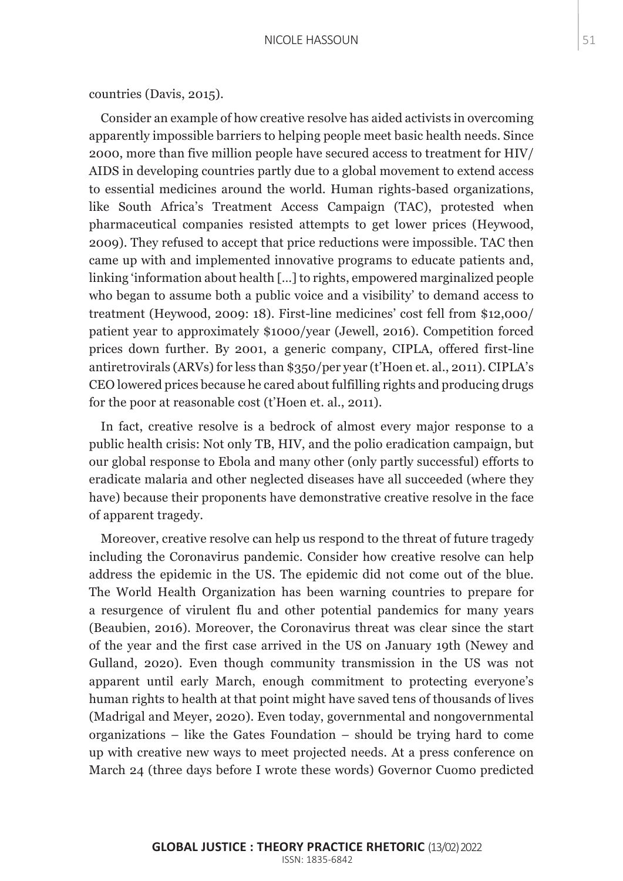Consider an example of how creative resolve has aided activists in overcoming apparently impossible barriers to helping people meet basic health needs. Since 2000, more than five million people have secured access to treatment for HIV/ AIDS in developing countries partly due to a global movement to extend access to essential medicines around the world. Human rights-based organizations, like South Africa's Treatment Access Campaign (TAC), protested when pharmaceutical companies resisted attempts to get lower prices (Heywood, 2009). They refused to accept that price reductions were impossible. TAC then came up with and implemented innovative programs to educate patients and, linking 'information about health […] to rights, empowered marginalized people who began to assume both a public voice and a visibility' to demand access to treatment (Heywood, 2009: 18). First-line medicines' cost fell from \$12,000/ patient year to approximately \$1000/year (Jewell, 2016). Competition forced prices down further. By 2001, a generic company, CIPLA, offered first-line antiretrovirals (ARVs) for less than \$350/per year (t'Hoen et. al., 2011). CIPLA's CEO lowered prices because he cared about fulfilling rights and producing drugs for the poor at reasonable cost (t'Hoen et. al., 2011).

In fact, creative resolve is a bedrock of almost every major response to a public health crisis: Not only TB, HIV, and the polio eradication campaign, but our global response to Ebola and many other (only partly successful) efforts to eradicate malaria and other neglected diseases have all succeeded (where they have) because their proponents have demonstrative creative resolve in the face of apparent tragedy.

Moreover, creative resolve can help us respond to the threat of future tragedy including the Coronavirus pandemic. Consider how creative resolve can help address the epidemic in the US. The epidemic did not come out of the blue. The World Health Organization has been warning countries to prepare for a resurgence of virulent flu and other potential pandemics for many years (Beaubien, 2016). Moreover, the Coronavirus threat was clear since the start of the year and the first case arrived in the US on January 19th (Newey and Gulland, 2020). Even though community transmission in the US was not apparent until early March, enough commitment to protecting everyone's human rights to health at that point might have saved tens of thousands of lives (Madrigal and Meyer, 2020). Even today, governmental and nongovernmental organizations – like the Gates Foundation – should be trying hard to come up with creative new ways to meet projected needs. At a press conference on March 24 (three days before I wrote these words) Governor Cuomo predicted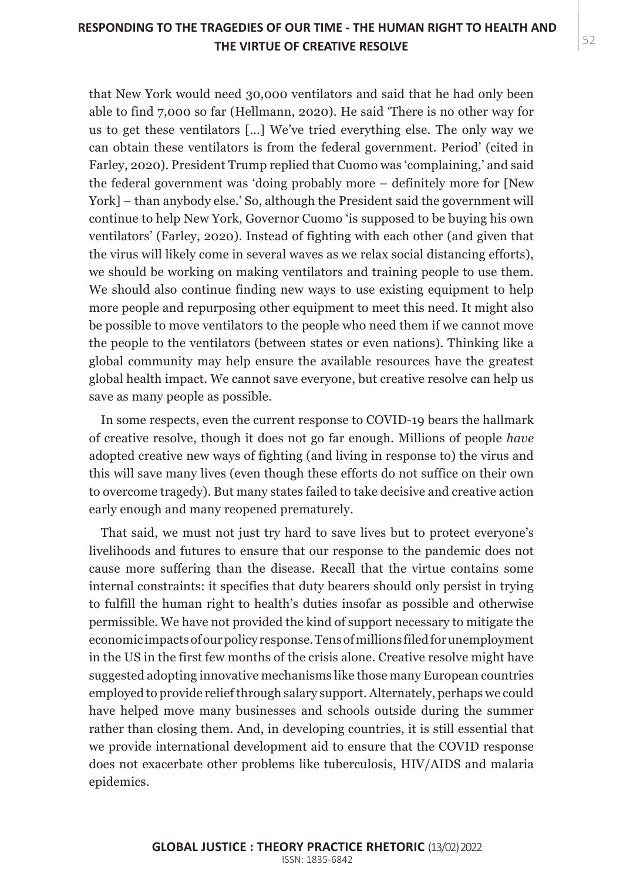## THE VIRTUE OF CREATIVE RESOLVE **Fig. 10** S2 **RESPONDING TO THE TRAGEDIES OF OUR TIME - THE HUMAN RIGHT TO HEALTH AND**

that New York would need 30,000 ventilators and said that he had only been able to find 7,000 so far (Hellmann, 2020). He said 'There is no other way for us to get these ventilators […] We've tried everything else. The only way we can obtain these ventilators is from the federal government. Period' (cited in Farley, 2020). President Trump replied that Cuomo was 'complaining,' and said the federal government was 'doing probably more – definitely more for [New York] – than anybody else.' So, although the President said the government will continue to help New York, Governor Cuomo 'is supposed to be buying his own ventilators' (Farley, 2020). Instead of fighting with each other (and given that the virus will likely come in several waves as we relax social distancing efforts), we should be working on making ventilators and training people to use them. We should also continue finding new ways to use existing equipment to help more people and repurposing other equipment to meet this need. It might also be possible to move ventilators to the people who need them if we cannot move the people to the ventilators (between states or even nations). Thinking like a global community may help ensure the available resources have the greatest global health impact. We cannot save everyone, but creative resolve can help us save as many people as possible.

In some respects, even the current response to COVID-19 bears the hallmark of creative resolve, though it does not go far enough. Millions of people *have*  adopted creative new ways of fighting (and living in response to) the virus and this will save many lives (even though these efforts do not suffice on their own to overcome tragedy). But many states failed to take decisive and creative action early enough and many reopened prematurely.

That said, we must not just try hard to save lives but to protect everyone's livelihoods and futures to ensure that our response to the pandemic does not cause more suffering than the disease. Recall that the virtue contains some internal constraints: it specifies that duty bearers should only persist in trying to fulfill the human right to health's duties insofar as possible and otherwise permissible. We have not provided the kind of support necessary to mitigate the economic impacts of our policy response. Tens of millions filed for unemployment in the US in the first few months of the crisis alone. Creative resolve might have suggested adopting innovative mechanisms like those many European countries employed to provide relief through salary support. Alternately, perhaps we could have helped move many businesses and schools outside during the summer rather than closing them. And, in developing countries, it is still essential that we provide international development aid to ensure that the COVID response does not exacerbate other problems like tuberculosis, HIV/AIDS and malaria epidemics.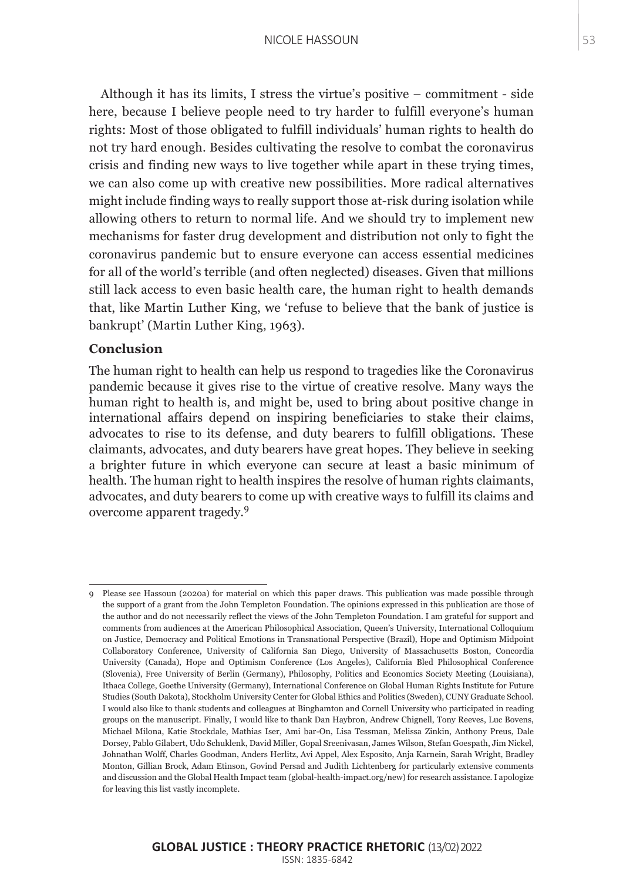Although it has its limits, I stress the virtue's positive – commitment - side here, because I believe people need to try harder to fulfill everyone's human rights: Most of those obligated to fulfill individuals' human rights to health do not try hard enough. Besides cultivating the resolve to combat the coronavirus crisis and finding new ways to live together while apart in these trying times, we can also come up with creative new possibilities. More radical alternatives might include finding ways to really support those at-risk during isolation while allowing others to return to normal life. And we should try to implement new mechanisms for faster drug development and distribution not only to fight the coronavirus pandemic but to ensure everyone can access essential medicines for all of the world's terrible (and often neglected) diseases. Given that millions still lack access to even basic health care, the human right to health demands that, like Martin Luther King, we 'refuse to believe that the bank of justice is bankrupt' (Martin Luther King, 1963).

#### **Conclusion**

The human right to health can help us respond to tragedies like the Coronavirus pandemic because it gives rise to the virtue of creative resolve. Many ways the human right to health is, and might be, used to bring about positive change in international affairs depend on inspiring beneficiaries to stake their claims, advocates to rise to its defense, and duty bearers to fulfill obligations. These claimants, advocates, and duty bearers have great hopes. They believe in seeking a brighter future in which everyone can secure at least a basic minimum of health. The human right to health inspires the resolve of human rights claimants, advocates, and duty bearers to come up with creative ways to fulfill its claims and overcome apparent tragedy.<sup>9</sup>

<sup>9</sup> Please see Hassoun (2020a) for material on which this paper draws. This publication was made possible through the support of a grant from the John Templeton Foundation. The opinions expressed in this publication are those of the author and do not necessarily reflect the views of the John Templeton Foundation. I am grateful for support and comments from audiences at the American Philosophical Association, Queen's University, International Colloquium on Justice, Democracy and Political Emotions in Transnational Perspective (Brazil), Hope and Optimism Midpoint Collaboratory Conference, University of California San Diego, University of Massachusetts Boston, Concordia University (Canada), Hope and Optimism Conference (Los Angeles), California Bled Philosophical Conference (Slovenia), Free University of Berlin (Germany), Philosophy, Politics and Economics Society Meeting (Louisiana), Ithaca College, Goethe University (Germany), International Conference on Global Human Rights Institute for Future Studies (South Dakota), Stockholm University Center for Global Ethics and Politics (Sweden), CUNY Graduate School. I would also like to thank students and colleagues at Binghamton and Cornell University who participated in reading groups on the manuscript. Finally, I would like to thank Dan Haybron, Andrew Chignell, Tony Reeves, Luc Bovens, Michael Milona, Katie Stockdale, Mathias Iser, Ami bar-On, Lisa Tessman, Melissa Zinkin, Anthony Preus, Dale Dorsey, Pablo Gilabert, Udo Schuklenk, David Miller, Gopal Sreenivasan, James Wilson, Stefan Goespath, Jim Nickel, Johnathan Wolff, Charles Goodman, Anders Herlitz, Avi Appel, Alex Esposito, Anja Karnein, Sarah Wright, Bradley Monton, Gillian Brock, Adam Etinson, Govind Persad and Judith Lichtenberg for particularly extensive comments and discussion and the Global Health Impact team (global-health-impact.org/new) for research assistance. I apologize for leaving this list vastly incomplete.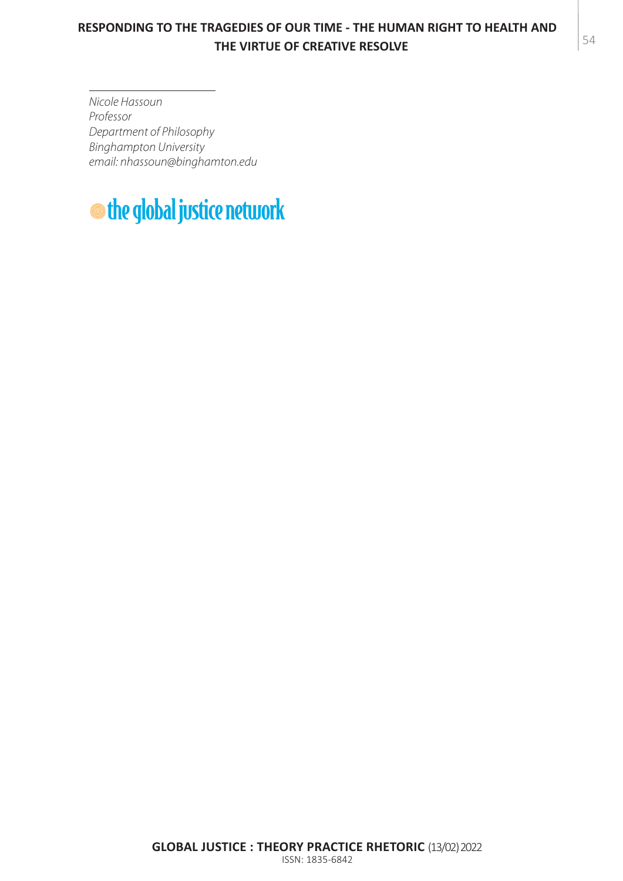# MARGARET MOORE 5480 **THE VIRTUE OF CREATIVE RESOLVE RESPONDING TO THE TRAGEDIES OF OUR TIME - THE HUMAN RIGHT TO HEALTH AND**

*Nicole Hassoun Professor Department of Philosophy Binghampton University email: nhassoun@binghamton.edu*

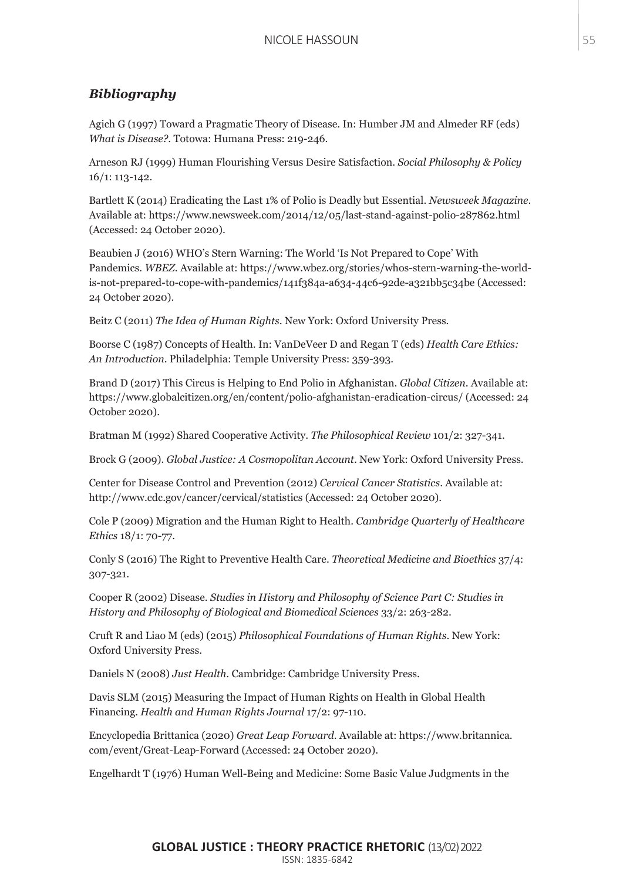#### *Bibliography*

Agich G (1997) Toward a Pragmatic Theory of Disease. In: Humber JM and Almeder RF (eds) *What is Disease?*. Totowa: Humana Press: 219-246.

Arneson RJ (1999) Human Flourishing Versus Desire Satisfaction. *Social Philosophy & Policy* 16/1: 113-142.

Bartlett K (2014) Eradicating the Last 1% of Polio is Deadly but Essential. *Newsweek Magazine*. Available at: https://www.newsweek.com/2014/12/05/last-stand-against-polio-287862.html (Accessed: 24 October 2020).

Beaubien J (2016) WHO's Stern Warning: The World 'Is Not Prepared to Cope' With Pandemics. *WBEZ*. Available at: https://www.wbez.org/stories/whos-stern-warning-the-worldis-not-prepared-to-cope-with-pandemics/141f384a-a634-44c6-92de-a321bb5c34be (Accessed: 24 October 2020).

Beitz C (2011) *The Idea of Human Rights*. New York: Oxford University Press.

Boorse C (1987) Concepts of Health. In: VanDeVeer D and Regan T (eds) *Health Care Ethics: An Introduction*. Philadelphia: Temple University Press: 359-393.

Brand D (2017) This Circus is Helping to End Polio in Afghanistan. *Global Citizen*. Available at: https://www.globalcitizen.org/en/content/polio-afghanistan-eradication-circus/ (Accessed: 24 October 2020).

Bratman M (1992) Shared Cooperative Activity. *The Philosophical Review* 101/2: 327-341.

Brock G (2009). *Global Justice: A Cosmopolitan Account*. New York: Oxford University Press.

Center for Disease Control and Prevention (2012) *Cervical Cancer Statistics*. Available at: http://www.cdc.gov/cancer/cervical/statistics (Accessed: 24 October 2020).

Cole P (2009) Migration and the Human Right to Health. *Cambridge Quarterly of Healthcare Ethics* 18/1: 70-77.

Conly S (2016) The Right to Preventive Health Care. *Theoretical Medicine and Bioethics* 37/4: 307-321.

Cooper R (2002) Disease. *Studies in History and Philosophy of Science Part C: Studies in History and Philosophy of Biological and Biomedical Sciences* 33/2: 263-282.

Cruft R and Liao M (eds) (2015) *Philosophical Foundations of Human Rights*. New York: Oxford University Press.

Daniels N (2008) *Just Health*. Cambridge: Cambridge University Press.

Davis SLM (2015) Measuring the Impact of Human Rights on Health in Global Health Financing. *Health and Human Rights Journal* 17/2: 97-110.

Encyclopedia Brittanica (2020) *Great Leap Forward*. Available at: https://www.britannica. com/event/Great-Leap-Forward (Accessed: 24 October 2020).

Engelhardt T (1976) Human Well-Being and Medicine: Some Basic Value Judgments in the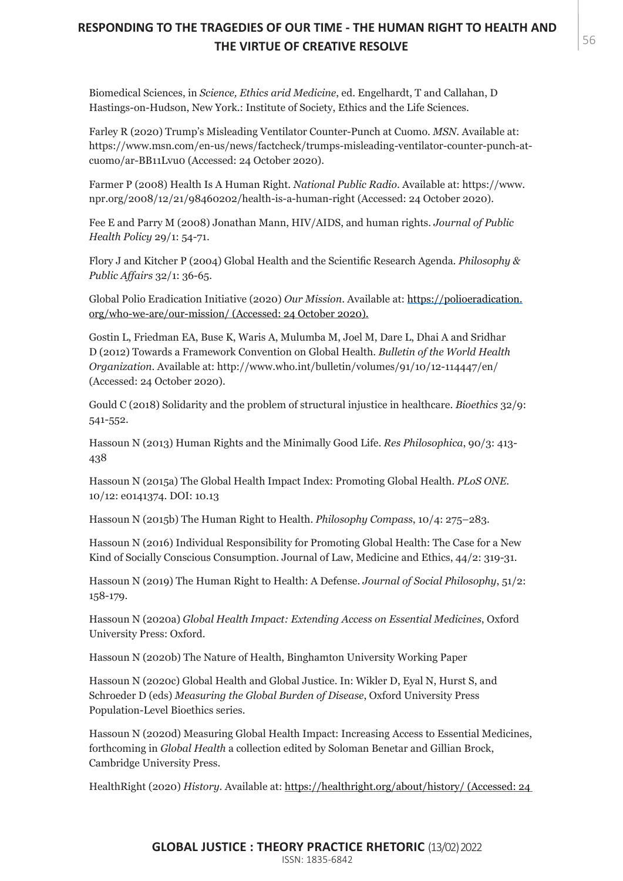# MARGARET MOORE 5682 **THE VIRTUE OF CREATIVE RESOLVE RESPONDING TO THE TRAGEDIES OF OUR TIME - THE HUMAN RIGHT TO HEALTH AND**

Biomedical Sciences, in *Science, Ethics arid Medicine*, ed. Engelhardt, T and Callahan, D Hastings-on-Hudson, New York.: Institute of Society, Ethics and the Life Sciences.

Farley R (2020) Trump's Misleading Ventilator Counter-Punch at Cuomo. *MSN*. Available at: https://www.msn.com/en-us/news/factcheck/trumps-misleading-ventilator-counter-punch-atcuomo/ar-BB11Lvu0 (Accessed: 24 October 2020).

Farmer P (2008) Health Is A Human Right. *National Public Radio*. Available at: https://www. npr.org/2008/12/21/98460202/health-is-a-human-right (Accessed: 24 October 2020).

Fee E and Parry M (2008) Jonathan Mann, HIV/AIDS, and human rights. *Journal of Public Health Policy* 29/1: 54-71.

Flory J and Kitcher P (2004) Global Health and the Scientific Research Agenda. *Philosophy & Public Affairs* 32/1: 36-65.

Global Polio Eradication Initiative (2020) *Our Mission*. Available at: https://polioeradication. org/who-we-are/our-mission/ (Accessed: 24 October 2020).

Gostin L, Friedman EA, Buse K, Waris A, Mulumba M, Joel M, Dare L, Dhai A and Sridhar D (2012) Towards a Framework Convention on Global Health. *Bulletin of the World Health Organization*. Available at: http://www.who.int/bulletin/volumes/91/10/12-114447/en/ (Accessed: 24 October 2020).

Gould C (2018) Solidarity and the problem of structural injustice in healthcare. *Bioethics* 32/9: 541-552.

Hassoun N (2013) Human Rights and the Minimally Good Life. *Res Philosophica*, 90/3: 413- 438

Hassoun N (2015a) The Global Health Impact Index: Promoting Global Health. *PLoS ONE*. 10/12: e0141374. DOI: 10.13

Hassoun N (2015b) The Human Right to Health. *Philosophy Compass*, 10/4: 275–283.

Hassoun N (2016) Individual Responsibility for Promoting Global Health: The Case for a New Kind of Socially Conscious Consumption. Journal of Law, Medicine and Ethics, 44/2: 319-31.

Hassoun N (2019) The Human Right to Health: A Defense. *Journal of Social Philosophy*, 51/2: 158-179.

Hassoun N (2020a) *Global Health Impact: Extending Access on Essential Medicines*, Oxford University Press: Oxford.

Hassoun N (2020b) The Nature of Health, Binghamton University Working Paper

Hassoun N (2020c) Global Health and Global Justice. In: Wikler D, Eyal N, Hurst S, and Schroeder D (eds) *Measuring the Global Burden of Disease*, Oxford University Press Population-Level Bioethics series.

Hassoun N (2020d) Measuring Global Health Impact: Increasing Access to Essential Medicines, forthcoming in *Global Health* a collection edited by Soloman Benetar and Gillian Brock, Cambridge University Press.

HealthRight (2020) *History*. Available at: https://healthright.org/about/history/ (Accessed: 24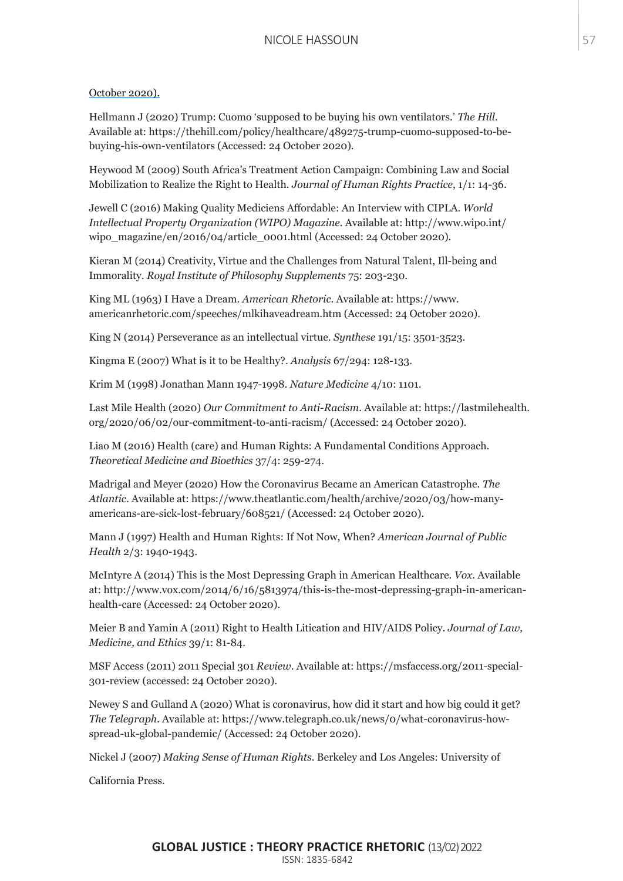#### October 2020).

Hellmann J (2020) Trump: Cuomo 'supposed to be buying his own ventilators.' *The Hill.* Available at: https://thehill.com/policy/healthcare/489275-trump-cuomo-supposed-to-bebuying-his-own-ventilators (Accessed: 24 October 2020).

Heywood M (2009) South Africa's Treatment Action Campaign: Combining Law and Social Mobilization to Realize the Right to Health. *Journal of Human Rights Practice*, 1/1: 14-36.

Jewell C (2016) Making Quality Mediciens Affordable: An Interview with CIPLA. *World Intellectual Property Organization (WIPO) Magazine.* Available at: http://www.wipo.int/ wipo\_magazine/en/2016/04/article\_0001.html (Accessed: 24 October 2020).

Kieran M (2014) Creativity, Virtue and the Challenges from Natural Talent, Ill-being and Immorality. *Royal Institute of Philosophy Supplements* 75: 203-230.

King ML (1963) I Have a Dream. *American Rhetoric*. Available at: https://www. americanrhetoric.com/speeches/mlkihaveadream.htm (Accessed: 24 October 2020).

King N (2014) Perseverance as an intellectual virtue. *Synthese* 191/15: 3501-3523.

Kingma E (2007) What is it to be Healthy?. *Analysis* 67/294: 128-133.

Krim M (1998) Jonathan Mann 1947-1998. *Nature Medicine* 4/10: 1101.

Last Mile Health (2020) *Our Commitment to Anti-Racism.* Available at: https://lastmilehealth. org/2020/06/02/our-commitment-to-anti-racism/ (Accessed: 24 October 2020).

Liao M (2016) Health (care) and Human Rights: A Fundamental Conditions Approach. *Theoretical Medicine and Bioethics* 37/4: 259-274.

Madrigal and Meyer (2020) How the Coronavirus Became an American Catastrophe. *The Atlantic*. Available at: https://www.theatlantic.com/health/archive/2020/03/how-manyamericans-are-sick-lost-february/608521/ (Accessed: 24 October 2020).

Mann J (1997) Health and Human Rights: If Not Now, When? *American Journal of Public Health* 2/3: 1940-1943.

McIntyre A (2014) This is the Most Depressing Graph in American Healthcare. *Vox*. Available at: http://www.vox.com/2014/6/16/5813974/this-is-the-most-depressing-graph-in-americanhealth-care (Accessed: 24 October 2020).

Meier B and Yamin A (2011) Right to Health Litication and HIV/AIDS Policy. *Journal of Law, Medicine, and Ethics* 39/1: 81-84.

MSF Access (2011) 2011 Special 301 *Review*. Available at: https://msfaccess.org/2011-special-301-review (accessed: 24 October 2020).

Newey S and Gulland A (2020) What is coronavirus, how did it start and how big could it get? *The Telegraph*. Available at: https://www.telegraph.co.uk/news/0/what-coronavirus-howspread-uk-global-pandemic/ (Accessed: 24 October 2020).

Nickel J (2007) *Making Sense of Human Rights.* Berkeley and Los Angeles: University of

California Press.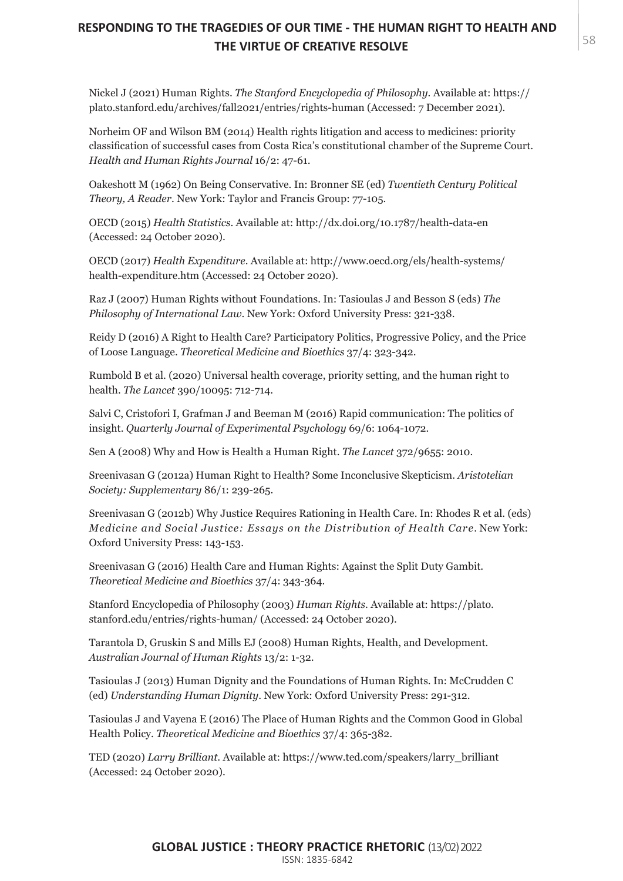# MARGARET MOORE 5884 **THE VIRTUE OF CREATIVE RESOLVE RESPONDING TO THE TRAGEDIES OF OUR TIME - THE HUMAN RIGHT TO HEALTH AND**

Nickel J (2021) Human Rights. *The Stanford Encyclopedia of Philosophy*. Available at: https:// plato.stanford.edu/archives/fall2021/entries/rights-human (Accessed: 7 December 2021).

Norheim OF and Wilson BM (2014) Health rights litigation and access to medicines: priority classification of successful cases from Costa Rica's constitutional chamber of the Supreme Court. *Health and Human Rights Journal* 16/2: 47-61.

Oakeshott M (1962) On Being Conservative. In: Bronner SE (ed) *Twentieth Century Political Theory, A Reader*. New York: Taylor and Francis Group: 77-105.

OECD (2015) *Health Statistics*. Available at: http://dx.doi.org/10.1787/health-data-en (Accessed: 24 October 2020).

OECD (2017) *Health Expenditure*. Available at: http://www.oecd.org/els/health-systems/ health-expenditure.htm (Accessed: 24 October 2020).

Raz J (2007) Human Rights without Foundations. In: Tasioulas J and Besson S (eds) *The Philosophy of International Law*. New York: Oxford University Press: 321-338.

Reidy D (2016) A Right to Health Care? Participatory Politics, Progressive Policy, and the Price of Loose Language. *Theoretical Medicine and Bioethics* 37/4: 323-342.

Rumbold B et al. (2020) Universal health coverage, priority setting, and the human right to health. *The Lancet* 390/10095: 712-714.

Salvi C, Cristofori I, Grafman J and Beeman M (2016) Rapid communication: The politics of insight. *Quarterly Journal of Experimental Psychology* 69/6: 1064-1072.

Sen A (2008) Why and How is Health a Human Right. *The Lancet* 372/9655: 2010.

Sreenivasan G (2012a) Human Right to Health? Some Inconclusive Skepticism. *Aristotelian Society: Supplementary* 86/1: 239-265.

Sreenivasan G (2012b) Why Justice Requires Rationing in Health Care. In: Rhodes R et al. (eds) *Medicine and Social Justice: Essays on the Distribution of Health Care*. New York: Oxford University Press: 143-153.

Sreenivasan G (2016) Health Care and Human Rights: Against the Split Duty Gambit. *Theoretical Medicine and Bioethics* 37/4: 343-364.

Stanford Encyclopedia of Philosophy (2003) *Human Rights*. Available at: https://plato. stanford.edu/entries/rights-human/ (Accessed: 24 October 2020).

Tarantola D, Gruskin S and Mills EJ (2008) Human Rights, Health, and Development. *Australian Journal of Human Rights* 13/2: 1-32.

Tasioulas J (2013) Human Dignity and the Foundations of Human Rights. In: McCrudden C (ed) *Understanding Human Dignity*. New York: Oxford University Press: 291-312.

Tasioulas J and Vayena E (2016) The Place of Human Rights and the Common Good in Global Health Policy. *Theoretical Medicine and Bioethics* 37/4: 365-382.

TED (2020) *Larry Brilliant*. Available at: https://www.ted.com/speakers/larry\_brilliant (Accessed: 24 October 2020).